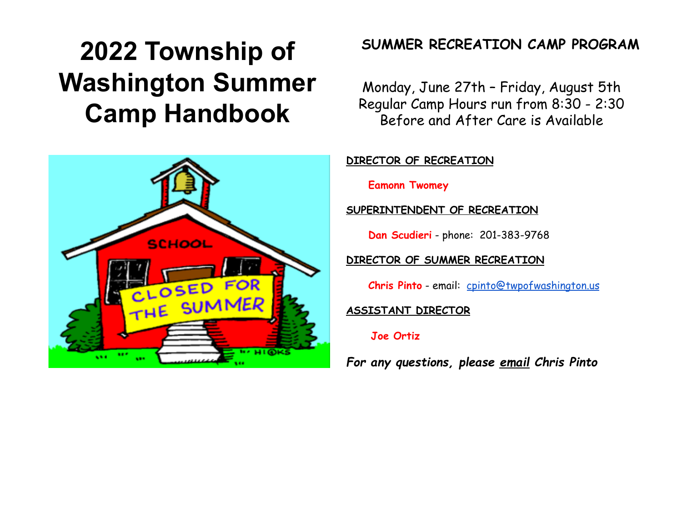# **2022 Township of Washington Summer Camp Handbook**



# **SUMMER RECREATION CAMP PROGRAM**

Monday, June 27th – Friday, August 5th Regular Camp Hours run from 8:30 - 2:30 Before and After Care is Available

**DIRECTOR OF RECREATION**

**Eamonn Twomey**

**SUPERINTENDENT OF RECREATION**

**Dan Scudieri** - phone: 201-383-9768

### **DIRECTOR OF SUMMER RECREATION**

**Chris Pinto** - email: [cpinto@twpofwashington.us](mailto:cpinto@twpofwashington.us)

### **ASSISTANT DIRECTOR**

### **Joe Ortiz**

*For any questions, please email Chris Pinto*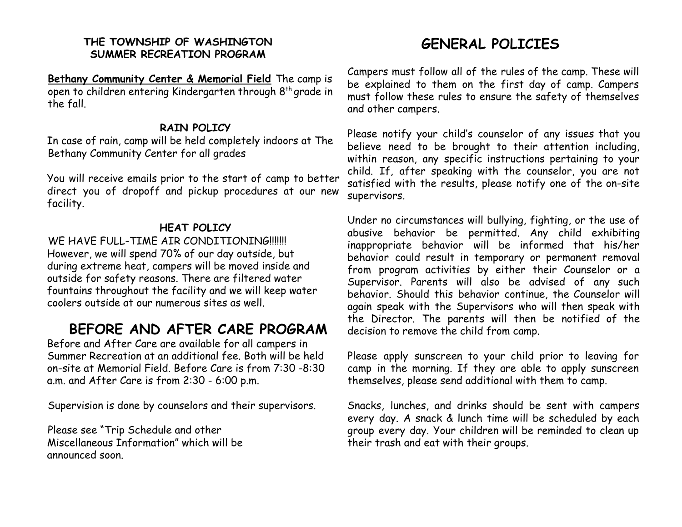### **THE TOWNSHIP OF WASHINGTON SUMMER RECREATION PROGRAM**

**Bethany Community Center & Memorial Field** The camp is open to children entering Kindergarten through 8th grade in the fall.

### **RAIN POLICY**

In case of rain, camp will be held completely indoors at The Bethany Community Center for all grades

You will receive emails prior to the start of camp to better direct you of dropoff and pickup procedures at our new facility.

### **HEAT POLICY**

WE HAVE FULL-TIME AIR CONDITIONING!!!!!! However, we will spend 70% of our day outside, but during extreme heat, campers will be moved inside and outside for safety reasons. There are filtered water fountains throughout the facility and we will keep water coolers outside at our numerous sites as well.

## **BEFORE AND AFTER CARE PROGRAM**

Before and After Care are available for all campers in Summer Recreation at an additional fee. Both will be held on-site at Memorial Field. Before Care is from 7:30 -8:30 a.m. and After Care is from 2:30 - 6:00 p.m.

Supervision is done by counselors and their supervisors.

Please see "Trip Schedule and other Miscellaneous Information" which will be announced soon.

# **GENERAL POLICIES**

Campers must follow all of the rules of the camp. These will be explained to them on the first day of camp. Campers must follow these rules to ensure the safety of themselves and other campers.

Please notify your child's counselor of any issues that you believe need to be brought to their attention including, within reason, any specific instructions pertaining to your child. If, after speaking with the counselor, you are not satisfied with the results, please notify one of the on-site supervisors.

Under no circumstances will bullying, fighting, or the use of abusive behavior be permitted. Any child exhibiting inappropriate behavior will be informed that his/her behavior could result in temporary or permanent removal from program activities by either their Counselor or a Supervisor. Parents will also be advised of any such behavior. Should this behavior continue, the Counselor will again speak with the Supervisors who will then speak with the Director. The parents will then be notified of the decision to remove the child from camp.

Please apply sunscreen to your child prior to leaving for camp in the morning. If they are able to apply sunscreen themselves, please send additional with them to camp.

Snacks, lunches, and drinks should be sent with campers every day. A snack & lunch time will be scheduled by each group every day. Your children will be reminded to clean up their trash and eat with their groups.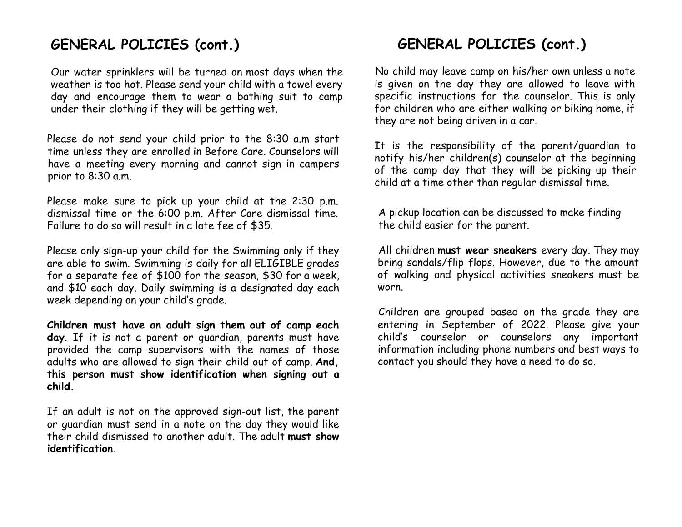## **GENERAL POLICIES (cont.)**

Our water sprinklers will be turned on most days when the weather is too hot. Please send your child with a towel every day and encourage them to wear a bathing suit to camp under their clothing if they will be getting wet.

Please do not send your child prior to the 8:30 a.m start time unless they are enrolled in Before Care. Counselors will have a meeting every morning and cannot sign in campers prior to 8:30 a.m.

Please make sure to pick up your child at the 2:30 p.m. dismissal time or the 6:00 p.m. After Care dismissal time. Failure to do so will result in a late fee of \$35.

Please only sign-up your child for the Swimming only if they are able to swim. Swimming is daily for all ELIGIBLE grades for a separate fee of \$100 for the season, \$30 for a week, and \$10 each day. Daily swimming is a designated day each week depending on your child's grade.

**Children must have an adult sign them out of camp each day**. If it is not a parent or guardian, parents must have provided the camp supervisors with the names of those adults who are allowed to sign their child out of camp. **And, this person must show identification when signing out a child.**

If an adult is not on the approved sign-out list, the parent or guardian must send in a note on the day they would like their child dismissed to another adult. The adult **must show identification**.

# **GENERAL POLICIES (cont.)**

No child may leave camp on his/her own unless a note is given on the day they are allowed to leave with specific instructions for the counselor. This is only for children who are either walking or biking home, if they are not being driven in a car.

It is the responsibility of the parent/guardian to notify his/her children(s) counselor at the beginning of the camp day that they will be picking up their child at a time other than regular dismissal time.

A pickup location can be discussed to make finding the child easier for the parent.

All children **must wear sneakers** every day. They may bring sandals/flip flops. However, due to the amount of walking and physical activities sneakers must be worn.

Children are grouped based on the grade they are entering in September of 2022. Please give your child's counselor or counselors any important information including phone numbers and best ways to contact you should they have a need to do so.